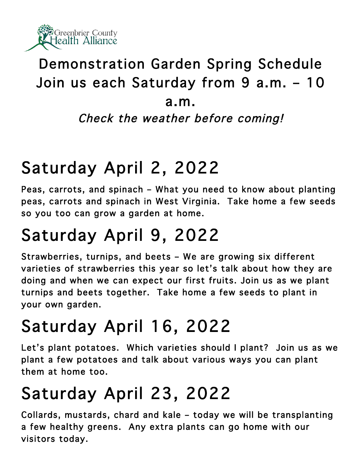

#### Demonstration Garden Spring Schedule Join us each Saturday from 9 a.m. – 10

#### a.m.

Check the weather before coming!

## Saturday April 2, 2022

Peas, carrots, and spinach – What you need to know about planting peas, carrots and spinach in West Virginia. Take home a few seeds so you too can grow a garden at home.

# Saturday April 9, 2022

Strawberries, turnips, and beets – We are growing six different varieties of strawberries this year so let's talk about how they are doing and when we can expect our first fruits. Join us as we plant turnips and beets together. Take home a few seeds to plant in your own garden.

# Saturday April 16, 2022

Let's plant potatoes. Which varieties should I plant? Join us as we plant a few potatoes and talk about various ways you can plant them at home too.

## Saturday April 23, 2022

Collards, mustards, chard and kale – today we will be transplanting a few healthy greens. Any extra plants can go home with our visitors today.